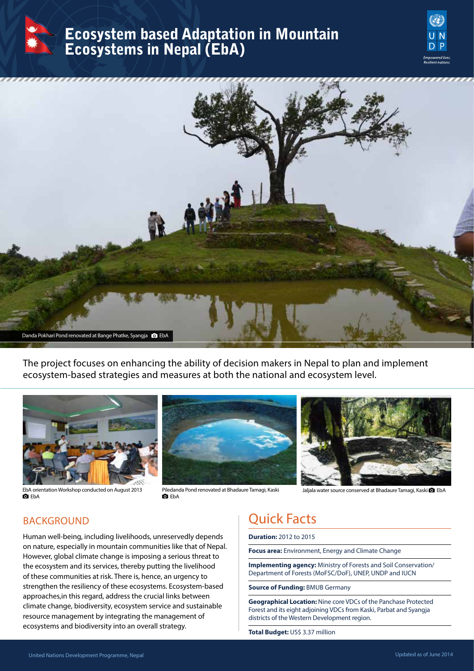

## Ecosystem based Adaptation in Mountain Ecosystems in Nepal (EbA)





The project focuses on enhancing the ability of decision makers in Nepal to plan and implement ecosystem-based strategies and measures at both the national and ecosystem level.







Piledanda Pond renovated at Bhadaure Tamagi, Kaski **D** FhA



Jaljala water source conserved at Bhadaure Tamagi, Kaski <sup>c</sup> EbA

### **BACKGROUND**

Human well-being, including livelihoods, unreservedly depends on nature, especially in mountain communities like that of Nepal. However, global climate change is imposing a serious threat to the ecosystem and its services, thereby putting the livelihood of these communities at risk. There is, hence, an urgency to strengthen the resiliency of these ecosystems. Ecosystem-based approaches,in this regard, address the crucial links between climate change, biodiversity, ecosystem service and sustainable resource management by integrating the management of ecosystems and biodiversity into an overall strategy.

# Quick Facts

**Duration:** 2012 to 2015

**Focus area:** Environment, Energy and Climate Change

**Implementing agency:** Ministry of Forests and Soil Conservation/ Department of Forests (MoFSC/DoF), UNEP, UNDP and IUCN

**Source of Funding:** BMUB Germany

**Geographical Location:** Nine core VDCs of the Panchase Protected Forest and its eight adjoining VDCs from Kaski, Parbat and Syangja districts of the Western Development region.

**Total Budget:** US\$ 3.37 million